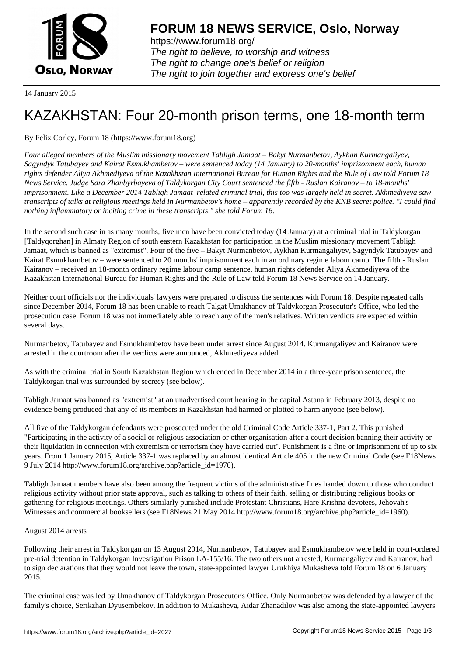

https://www.forum18.org/ The right to believe, to worship and witness The right to change one's belief or religion [The right to join together a](https://www.forum18.org/)nd express one's belief

14 January 2015

# [KAZAKHSTAN:](https://www.forum18.org) Four 20-month prison terms, one 18-month term

## By Felix Corley, Forum 18 (https://www.forum18.org)

*Four alleged members of the Muslim missionary movement Tabligh Jamaat – Bakyt Nurmanbetov, Aykhan Kurmangaliyev, Sagyndyk Tatubayev and Kairat Esmukhambetov – were sentenced today (14 January) to 20-months' imprisonment each, human rights defender Aliya Akhmediyeva of the Kazakhstan International Bureau for Human Rights and the Rule of Law told Forum 18 News Service. Judge Sara Zhanbyrbayeva of Taldykorgan City Court sentenced the fifth - Ruslan Kairanov – to 18-months' imprisonment. Like a December 2014 Tabligh Jamaat–related criminal trial, this too was largely held in secret. Akhmediyeva saw transcripts of talks at religious meetings held in Nurmanbetov's home – apparently recorded by the KNB secret police. "I could find nothing inflammatory or inciting crime in these transcripts," she told Forum 18.*

In the second such case in as many months, five men have been convicted today (14 January) at a criminal trial in Taldykorgan [Taldyqorghan] in Almaty Region of south eastern Kazakhstan for participation in the Muslim missionary movement Tabligh Jamaat, which is banned as "extremist". Four of the five – Bakyt Nurmanbetov, Aykhan Kurmangaliyev, Sagyndyk Tatubayev and Kairat Esmukhambetov – were sentenced to 20 months' imprisonment each in an ordinary regime labour camp. The fifth - Ruslan Kairanov – received an 18-month ordinary regime labour camp sentence, human rights defender Aliya Akhmediyeva of the Kazakhstan International Bureau for Human Rights and the Rule of Law told Forum 18 News Service on 14 January.

Neither court officials nor the individuals' lawyers were prepared to discuss the sentences with Forum 18. Despite repeated calls since December 2014, Forum 18 has been unable to reach Talgat Umakhanov of Taldykorgan Prosecutor's Office, who led the prosecution case. Forum 18 was not immediately able to reach any of the men's relatives. Written verdicts are expected within several days.

Nurmanbetov, Tatubayev and Esmukhambetov have been under arrest since August 2014. Kurmangaliyev and Kairanov were arrested in the courtroom after the verdicts were announced, Akhmediyeva added.

As with the criminal trial in South Kazakhstan Region which ended in December 2014 in a three-year prison sentence, the Taldykorgan trial was surrounded by secrecy (see below).

Tabligh Jamaat was banned as "extremist" at an unadvertised court hearing in the capital Astana in February 2013, despite no evidence being produced that any of its members in Kazakhstan had harmed or plotted to harm anyone (see below).

All five of the Taldykorgan defendants were prosecuted under the old Criminal Code Article 337-1, Part 2. This punished "Participating in the activity of a social or religious association or other organisation after a court decision banning their activity or their liquidation in connection with extremism or terrorism they have carried out". Punishment is a fine or imprisonment of up to six years. From 1 January 2015, Article 337-1 was replaced by an almost identical Article 405 in the new Criminal Code (see F18News 9 July 2014 http://www.forum18.org/archive.php?article\_id=1976).

Tabligh Jamaat members have also been among the frequent victims of the administrative fines handed down to those who conduct religious activity without prior state approval, such as talking to others of their faith, selling or distributing religious books or gathering for religious meetings. Others similarly punished include Protestant Christians, Hare Krishna devotees, Jehovah's Witnesses and commercial booksellers (see F18News 21 May 2014 http://www.forum18.org/archive.php?article\_id=1960).

#### August 2014 arrests

Following their arrest in Taldykorgan on 13 August 2014, Nurmanbetov, Tatubayev and Esmukhambetov were held in court-ordered pre-trial detention in Taldykorgan Investigation Prison LA-155/16. The two others not arrested, Kurmangaliyev and Kairanov, had to sign declarations that they would not leave the town, state-appointed lawyer Urukhiya Mukasheva told Forum 18 on 6 January 2015.

The criminal case was led by Umakhanov of Taldykorgan Prosecutor's Office. Only Nurmanbetov was defended by a lawyer of the family's choice, Serikzhan Dyusembekov. In addition to Mukasheva, Aidar Zhanadilov was also among the state-appointed lawyers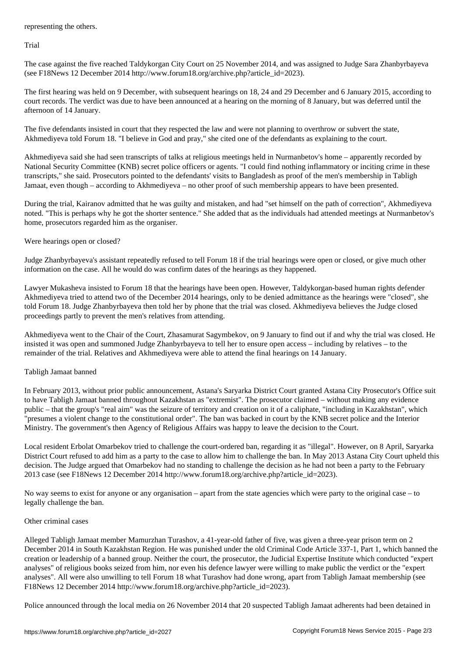Trial

The case against the five reached Taldykorgan City Court on 25 November 2014, and was assigned to Judge Sara Zhanbyrbayeva (see F18News 12 December 2014 http://www.forum18.org/archive.php?article\_id=2023).

The first hearing was held on 9 December, with subsequent hearings on 18, 24 and 29 December and 6 January 2015, according to court records. The verdict was due to have been announced at a hearing on the morning of 8 January, but was deferred until the afternoon of 14 January.

The five defendants insisted in court that they respected the law and were not planning to overthrow or subvert the state, Akhmediyeva told Forum 18. "I believe in God and pray," she cited one of the defendants as explaining to the court.

Akhmediyeva said she had seen transcripts of talks at religious meetings held in Nurmanbetov's home – apparently recorded by National Security Committee (KNB) secret police officers or agents. "I could find nothing inflammatory or inciting crime in these transcripts," she said. Prosecutors pointed to the defendants' visits to Bangladesh as proof of the men's membership in Tabligh Jamaat, even though – according to Akhmediyeva – no other proof of such membership appears to have been presented.

During the trial, Kairanov admitted that he was guilty and mistaken, and had "set himself on the path of correction", Akhmediyeva noted. "This is perhaps why he got the shorter sentence." She added that as the individuals had attended meetings at Nurmanbetov's home, prosecutors regarded him as the organiser.

Were hearings open or closed?

Judge Zhanbyrbayeva's assistant repeatedly refused to tell Forum 18 if the trial hearings were open or closed, or give much other information on the case. All he would do was confirm dates of the hearings as they happened.

Lawyer Mukasheva insisted to Forum 18 that the hearings have been open. However, Taldykorgan-based human rights defender Akhmediyeva tried to attend two of the December 2014 hearings, only to be denied admittance as the hearings were "closed", she told Forum 18. Judge Zhanbyrbayeva then told her by phone that the trial was closed. Akhmediyeva believes the Judge closed proceedings partly to prevent the men's relatives from attending.

Akhmediyeva went to the Chair of the Court, Zhasamurat Sagymbekov, on 9 January to find out if and why the trial was closed. He insisted it was open and summoned Judge Zhanbyrbayeva to tell her to ensure open access – including by relatives – to the remainder of the trial. Relatives and Akhmediyeva were able to attend the final hearings on 14 January.

### Tabligh Jamaat banned

In February 2013, without prior public announcement, Astana's Saryarka District Court granted Astana City Prosecutor's Office suit to have Tabligh Jamaat banned throughout Kazakhstan as "extremist". The prosecutor claimed – without making any evidence public – that the group's "real aim" was the seizure of territory and creation on it of a caliphate, "including in Kazakhstan", which "presumes a violent change to the constitutional order". The ban was backed in court by the KNB secret police and the Interior Ministry. The government's then Agency of Religious Affairs was happy to leave the decision to the Court.

Local resident Erbolat Omarbekov tried to challenge the court-ordered ban, regarding it as "illegal". However, on 8 April, Saryarka District Court refused to add him as a party to the case to allow him to challenge the ban. In May 2013 Astana City Court upheld this decision. The Judge argued that Omarbekov had no standing to challenge the decision as he had not been a party to the February 2013 case (see F18News 12 December 2014 http://www.forum18.org/archive.php?article\_id=2023).

No way seems to exist for anyone or any organisation – apart from the state agencies which were party to the original case – to legally challenge the ban.

#### Other criminal cases

Alleged Tabligh Jamaat member Mamurzhan Turashov, a 41-year-old father of five, was given a three-year prison term on 2 December 2014 in South Kazakhstan Region. He was punished under the old Criminal Code Article 337-1, Part 1, which banned the creation or leadership of a banned group. Neither the court, the prosecutor, the Judicial Expertise Institute which conducted "expert analyses" of religious books seized from him, nor even his defence lawyer were willing to make public the verdict or the "expert analyses". All were also unwilling to tell Forum 18 what Turashov had done wrong, apart from Tabligh Jamaat membership (see F18News 12 December 2014 http://www.forum18.org/archive.php?article\_id=2023).

Police announced through the local media on 26 November 2014 that 20 suspected Tabligh Jamaat adherents had been detained in